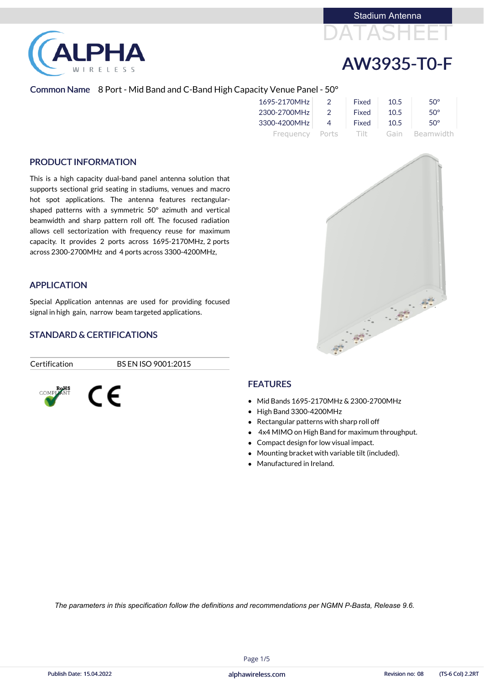I R E L E S S

# DATASHEET Stadium Antenna

# AW3935-T0-F

## Common Name 8 Port - Mid Band and C-Band High Capacity Venue Panel - 50°

| 1695-2170MHz    | $\overline{2}$ | Fixed   | 10.5 | $50^\circ$   |
|-----------------|----------------|---------|------|--------------|
| 2300-2700MHz    | $\overline{2}$ | Fixed   | 10.5 | $50^{\circ}$ |
| 3300-4200MHz    | $\overline{4}$ | Fixed   | 10.5 | $50^\circ$   |
| Frequency Ports |                | -Tilt - | Gain | Beamwidth    |

## PRODUCT INFORMATION

- Mid Bands 1695-2170MHz & 2300-2700MHz
- High Band 3300-4200MHz
- Rectangular patterns with sharp roll off
- 4x4 MIMO on High Band for maximum throughput.
- Compact design for low visual impact.
- Mounting bracket with variable tilt (included).
- Manufactured in Ireland.



This is a high capacity dual-band panel antenna solution that supports sectional grid seating in stadiums, venues and macro hot spot applications. The antenna features rectangularshaped patterns with a symmetric 50° azimuth and vertical beamwidth and sharp pattern roll off. The focused radiation allows cell sectorization with frequency reuse for maximum capacity. It provides 2 ports across 1695-2170MHz, 2 ports across 2300-2700MHz and 4 ports across 3300-4200MHz,

### APPLICATION

Special Application antennas are used for providing focused signal in high gain, narrow beam targeted applications.

## STANDARD & CERTIFICATIONS

Certification BS EN ISO 9001:2015



## FEATURES

Page 1/5

*The parameters in this specification follow the definitions and recommendations per NGMN P-Basta, Release 9.6.*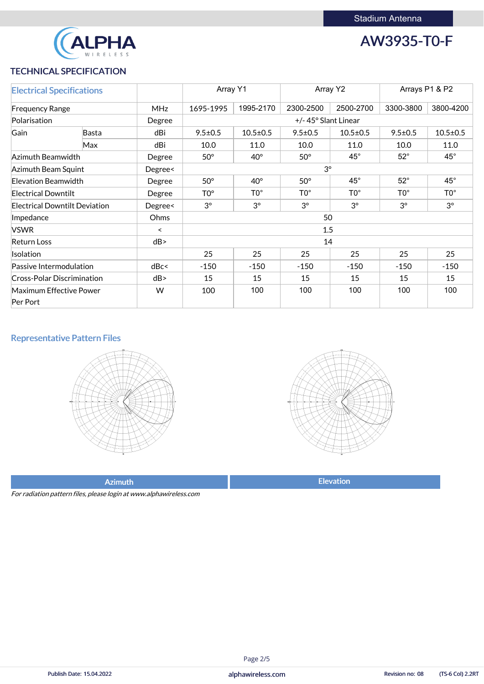

## AW3935-T0-F

## TECHNICAL SPECIFICATION

| <b>Electrical Specifications</b>     |       |            | Array Y1<br>Array Y2                                                                         |                |               | Arrays P1 & P2 |               |                |
|--------------------------------------|-------|------------|----------------------------------------------------------------------------------------------|----------------|---------------|----------------|---------------|----------------|
| <b>Frequency Range</b>               |       | <b>MHz</b> | 1995-2170<br>2300-2500<br>2500-2700<br>1695-1995                                             |                |               | 3300-3800      | 3800-4200     |                |
| Polarisation                         |       | Degree     | +/-45° Slant Linear                                                                          |                |               |                |               |                |
| Gain                                 | Basta | dBi        | $9.5 \pm 0.5$                                                                                | $10.5 \pm 0.5$ | $9.5 \pm 0.5$ | $10.5 \pm 0.5$ | $9.5 \pm 0.5$ | $10.5 \pm 0.5$ |
|                                      | Max   | dBi        | 10.0                                                                                         | 11.0           | 10.0          | 11.0           | 10.0          | 11.0           |
| Azimuth Beamwidth                    |       | Degree     | $45^{\circ}$<br>$52^\circ$<br>$50^\circ$<br>$50^\circ$<br>$40^{\circ}$                       |                |               |                | $45^{\circ}$  |                |
| Azimuth Beam Squint                  |       | Degree<    | $3^\circ$                                                                                    |                |               |                |               |                |
| Elevation Beamwidth                  |       | Degree     | $45^{\circ}$<br>$52^\circ$<br>$50^\circ$<br>$40^{\circ}$<br>$50^\circ$                       |                |               |                | $45^{\circ}$  |                |
| <b>Electrical Downtilt</b>           |       | Degree     | $\mathsf{T0}^\circ$<br>$TO^{\circ}$<br>TO <sup>o</sup><br>TO <sup>o</sup><br>TO <sup>o</sup> |                |               |                | $TO^{\circ}$  |                |
| <b>Electrical Downtilt Deviation</b> |       | Degree<    | $3^{\circ}$<br>$3^{\circ}$<br>$3^\circ$<br>$3^\circ$<br>$3^\circ$                            |                |               |                | $3^{\circ}$   |                |
| Impedance                            |       | Ohms       | 50                                                                                           |                |               |                |               |                |
| <b>VSWR</b>                          |       | $\prec$    | 1.5                                                                                          |                |               |                |               |                |
| <b>Return Loss</b>                   |       | dB         | 14                                                                                           |                |               |                |               |                |
| Isolation                            |       |            | 25<br>25<br>25<br>25<br>25                                                                   |                |               | 25             |               |                |
| Passive Intermodulation              |       | dBc<       | $-150$<br>$-150$<br>$-150$<br>$-150$<br>$-150$                                               |                |               | $-150$         |               |                |
| <b>Cross-Polar Discrimination</b>    |       | dB         | 15<br>15<br>15<br>15<br>15                                                                   |                |               | 15             |               |                |
| <b>Maximum Effective Power</b>       |       | W          | 100<br>100<br>100<br>100<br>100                                                              |                |               |                | 100           |                |
| Per Port                             |       |            |                                                                                              |                |               |                |               |                |

## Representative Pattern Files





Azimuth **Elevation** 

For radiation pattern files, please login at www.alphawireless.com

alphawireless.com

#### Publish Date: 15.04.2022 **Revision no: 08** (TS-6 Col) 2.2RT

## Page 2/5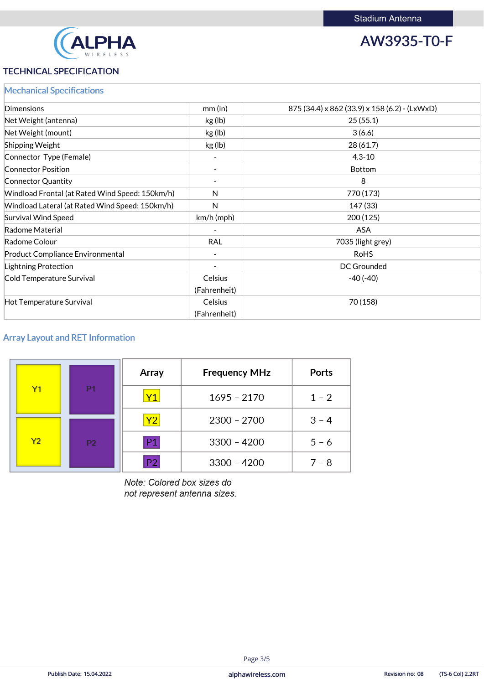

AW3935-T0-F

## TECHNICAL SPECIFICATION

|  | <b>Mechanical Specifications</b> |
|--|----------------------------------|
|  |                                  |

| <b>Dimensions</b>                               | $mm$ (in)      | 875 (34.4) x 862 (33.9) x 158 (6.2) - (LxWxD) |
|-------------------------------------------------|----------------|-----------------------------------------------|
| Net Weight (antenna)                            | kg (lb)        | 25(55.1)                                      |
| Net Weight (mount)                              | kg (lb)        | 3(6.6)                                        |
| <b>Shipping Weight</b>                          | kg (lb)        | 28(61.7)                                      |
| Connector Type (Female)                         |                | $4.3 - 10$                                    |
| <b>Connector Position</b>                       |                | <b>Bottom</b>                                 |
| <b>Connector Quantity</b>                       |                | 8                                             |
| Windload Frontal (at Rated Wind Speed: 150km/h) | N              | 770 (173)                                     |
| Windload Lateral (at Rated Wind Speed: 150km/h) | $\mathsf{N}$   | 147 (33)                                      |
| <b>Survival Wind Speed</b>                      | $km/h$ (mph)   | 200(125)                                      |
| Radome Material                                 |                | <b>ASA</b>                                    |
| Radome Colour                                   | <b>RAL</b>     | 7035 (light grey)                             |
| <b>Product Compliance Environmental</b>         |                | <b>RoHS</b>                                   |
| <b>Lightning Protection</b>                     |                | <b>DC Grounded</b>                            |
| Cold Temperature Survival                       | <b>Celsius</b> | $-40(-40)$                                    |
|                                                 | (Fahrenheit)   |                                               |
| Hot Temperature Survival                        | <b>Celsius</b> | 70 (158)                                      |
|                                                 | (Fahrenheit)   |                                               |

## Array Layout and RET Information

|                |           | Array          | <b>Frequency MHz</b> | Ports   |
|----------------|-----------|----------------|----------------------|---------|
| Y1             | P1        | Y1             | $1695 - 2170$        | $1 - 2$ |
|                |           | Y2             | $2300 - 2700$        | $3 - 4$ |
| Y <sub>2</sub> | <b>P2</b> | P <sub>1</sub> | $3300 - 4200$        | $5 - 6$ |
|                |           | P <sub>2</sub> | $3300 - 4200$        | $7 - 8$ |

Note: Colored box sizes do not represent antenna sizes.

alphawireless.com

#### Publish Date: 15.04.2022 **Revision no: 08** (TS-6 Col) 2.2RT

#### Page 3/5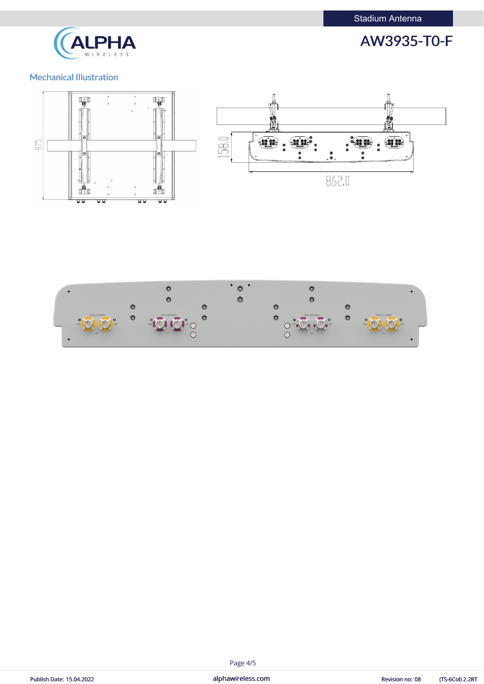



## Mechanical Illustration





## Page 4/5

| Publish Date: 15.04.2022 |  |
|--------------------------|--|
|--------------------------|--|

Published Date: 15.04.2022 alphawireless.com alphawireless.com Revision no: 08 (TS-6Col) 2.2RT